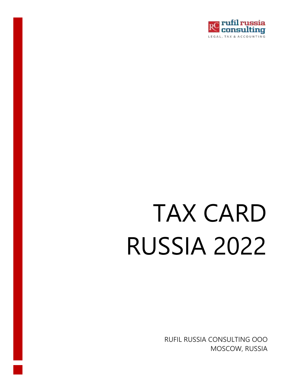

# TAX CARD RUSSIA 2022

RUFIL RUSSIA CONSULTING OOO MOSCOW, RUSSIA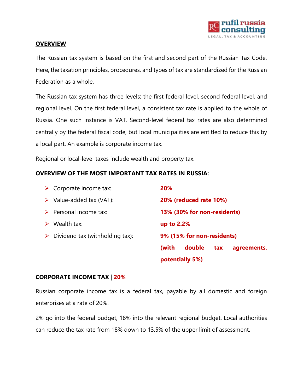

#### **OVERVIEW**

The Russian tax system is based on the first and second part of the Russian Tax Code. Here, the taxation principles, procedures, and types of tax are standardized for the Russian Federation as a whole.

The Russian tax system has three levels: the first federal level, second federal level, and regional level. On the first federal level, a consistent tax rate is applied to the whole of Russia. One such instance is VAT. Second-level federal tax rates are also determined centrally by the federal fiscal code, but local municipalities are entitled to reduce this by a local part. An example is corporate income tax.

Regional or local-level taxes include wealth and property tax.

#### **OVERVIEW OF THE MOST IMPORTANT TAX RATES IN RUSSIA:**

| $\triangleright$ Corporate income tax: | 20%                                   |
|----------------------------------------|---------------------------------------|
| Value-added tax (VAT):<br>➤            | 20% (reduced rate 10%)                |
| Personal income tax:                   | 13% (30% for non-residents)           |
| Wealth tax:                            | up to 2.2%                            |
| Dividend tax (withholding tax):<br>➤   | 9% (15% for non-residents)            |
|                                        | double<br>(with<br>tax<br>agreements, |
|                                        | potentially 5%)                       |

#### **CORPORATE INCOME TAX** | **20%**

Russian corporate income tax is a federal tax, payable by all domestic and foreign enterprises at a rate of 20%.

2% go into the federal budget, 18% into the relevant regional budget. Local authorities can reduce the tax rate from 18% down to 13.5% of the upper limit of assessment.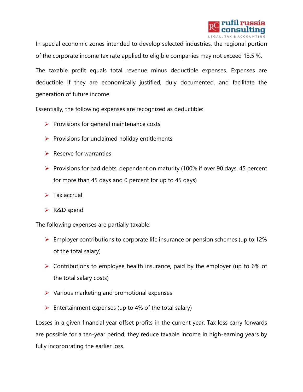

In special economic zones intended to develop selected industries, the regional portion of the corporate income tax rate applied to eligible companies may not exceed 13.5 %.

The taxable profit equals total revenue minus deductible expenses. Expenses are deductible if they are economically justified, duly documented, and facilitate the generation of future income.

Essentially, the following expenses are recognized as deductible:

- $\triangleright$  Provisions for general maintenance costs
- $\triangleright$  Provisions for unclaimed holiday entitlements
- $\triangleright$  Reserve for warranties
- ➢ Provisions for bad debts, dependent on maturity (100% if over 90 days, 45 percent for more than 45 days and 0 percent for up to 45 days)
- $\triangleright$  Tax accrual
- ➢ R&D spend

The following expenses are partially taxable:

- ➢ Employer contributions to corporate life insurance or pension schemes (up to 12% of the total salary)
- ➢ Contributions to employee health insurance, paid by the employer (up to 6% of the total salary costs)
- $\triangleright$  Various marketing and promotional expenses
- $\triangleright$  Entertainment expenses (up to 4% of the total salary)

Losses in a given financial year offset profits in the current year. Tax loss carry forwards are possible for a ten-year period; they reduce taxable income in high-earning years by fully incorporating the earlier loss.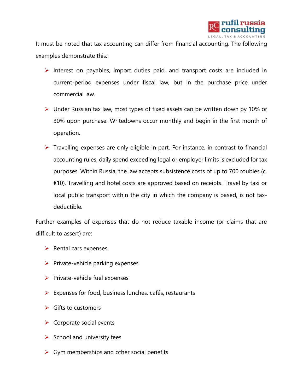

It must be noted that tax accounting can differ from financial accounting. The following examples demonstrate this:

- ➢ Interest on payables, import duties paid, and transport costs are included in current-period expenses under fiscal law, but in the purchase price under commercial law.
- ➢ Under Russian tax law, most types of fixed assets can be written down by 10% or 30% upon purchase. Writedowns occur monthly and begin in the first month of operation.
- $\triangleright$  Travelling expenses are only eligible in part. For instance, in contrast to financial accounting rules, daily spend exceeding legal or employer limits is excluded for tax purposes. Within Russia, the law accepts subsistence costs of up to 700 roubles (c. €10). Travelling and hotel costs are approved based on receipts. Travel by taxi or local public transport within the city in which the company is based, is not taxdeductible.

Further examples of expenses that do not reduce taxable income (or claims that are difficult to assert) are:

- $\triangleright$  Rental cars expenses
- $\triangleright$  Private-vehicle parking expenses
- ➢ Private-vehicle fuel expenses
- ➢ Expenses for food, business lunches, cafés, restaurants
- $\triangleright$  Gifts to customers
- $\triangleright$  Corporate social events
- $\triangleright$  School and university fees
- $\triangleright$  Gym memberships and other social benefits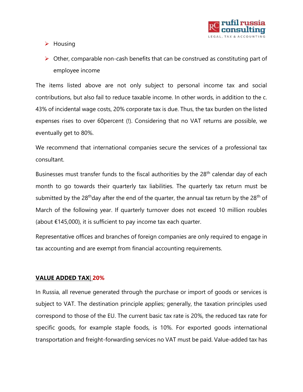

➢ Housing

 $\triangleright$  Other, comparable non-cash benefits that can be construed as constituting part of employee income

The items listed above are not only subject to personal income tax and social contributions, but also fail to reduce taxable income. In other words, in addition to the c. 43% of incidental wage costs, 20% corporate tax is due. Thus, the tax burden on the listed expenses rises to over 60percent (!). Considering that no VAT returns are possible, we eventually get to 80%.

We recommend that international companies secure the services of a professional tax consultant.

Businesses must transfer funds to the fiscal authorities by the 28<sup>th</sup> calendar day of each month to go towards their quarterly tax liabilities. The quarterly tax return must be submitted by the 28<sup>th</sup>day after the end of the quarter, the annual tax return by the 28<sup>th</sup> of March of the following year. If quarterly turnover does not exceed 10 million roubles (about €145,000), it is sufficient to pay income tax each quarter.

Representative offices and branches of foreign companies are only required to engage in tax accounting and are exempt from financial accounting requirements.

#### **VALUE ADDED TAX**| **20%**

In Russia, all revenue generated through the purchase or import of goods or services is subject to VAT. The destination principle applies; generally, the taxation principles used correspond to those of the EU. The current basic tax rate is 20%, the reduced tax rate for specific goods, for example staple foods, is 10%. For exported goods international transportation and freight-forwarding services no VAT must be paid. Value-added tax has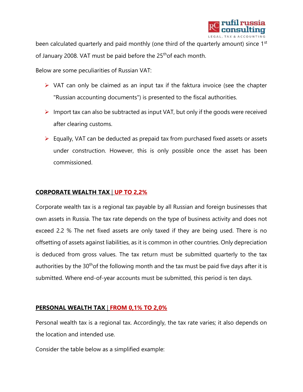

been calculated quarterly and paid monthly (one third of the quarterly amount) since 1<sup>st</sup> of January 2008. VAT must be paid before the 25<sup>th</sup>of each month.

Below are some peculiarities of Russian VAT:

- $\triangleright$  VAT can only be claimed as an input tax if the faktura invoice (see the chapter "Russian accounting documents") is presented to the fiscal authorities.
- $\triangleright$  Import tax can also be subtracted as input VAT, but only if the goods were received after clearing customs.
- ➢ Equally, VAT can be deducted as prepaid tax from purchased fixed assets or assets under construction. However, this is only possible once the asset has been commissioned.

### **CORPORATE WEALTH TAX** | **UP TO 2,2%**

Corporate wealth tax is a regional tax payable by all Russian and foreign businesses that own assets in Russia. The tax rate depends on the type of business activity and does not exceed 2.2 % The net fixed assets are only taxed if they are being used. There is no offsetting of assets against liabilities, as it is common in other countries. Only depreciation is deduced from gross values. The tax return must be submitted quarterly to the tax authorities by the 30<sup>th</sup> of the following month and the tax must be paid five days after it is submitted. Where end-of-year accounts must be submitted, this period is ten days.

#### **PERSONAL WEALTH TAX** | **FROM 0,1% TO 2,0%**

Personal wealth tax is a regional tax. Accordingly, the tax rate varies; it also depends on the location and intended use.

Consider the table below as a simplified example: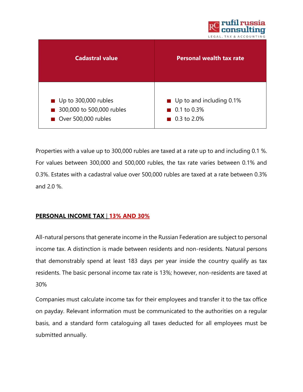

| <b>Cadastral value</b>              | <b>Personal wealth tax rate</b> |
|-------------------------------------|---------------------------------|
| $\blacksquare$ Up to 300,000 rubles | Up to and including 0.1%        |
| 300,000 to 500,000 rubles           | $\blacksquare$ 0.1 to 0.3%      |
| Over 500,000 rubles                 | ■ 0.3 to 2.0%                   |

Properties with a value up to 300,000 rubles are taxed at a rate up to and including 0.1 %. For values between 300,000 and 500,000 rubles, the tax rate varies between 0.1% and 0.3%. Estates with a cadastral value over 500,000 rubles are taxed at a rate between 0.3% and 2.0 %.

## **PERSONAL INCOME TAX** | **13% AND 30%**

All-natural persons that generate income in the Russian Federation are subject to personal income tax. A distinction is made between residents and non-residents. Natural persons that demonstrably spend at least 183 days per year inside the country qualify as tax residents. The basic personal income tax rate is 13%; however, non-residents are taxed at 30%

Companies must calculate income tax for their employees and transfer it to the tax office on payday. Relevant information must be communicated to the authorities on a regular basis, and a standard form cataloguing all taxes deducted for all employees must be submitted annually.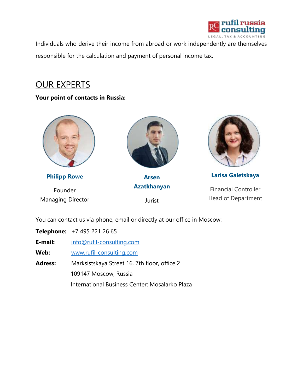

Individuals who derive their income from abroad or work independently are themselves responsible for the calculation and payment of personal income tax.

# OUR EXPERTS

## **Your point of contacts in Russia:**



**Philipp Rowe** Founder Managing Director



**Arsen Azatkhanyan**

Jurist



**Larisa Galetskaya**

Financial Controller Head of Department

You can contact us via phone, email or directly at our office in Moscow:

**Telephone:** +7 495 221 26 65

**E-mail:** [info@rufil-consulting.com](mailto:info@rufil-consulting.com)

**Web:** [www.rufil-consulting.com](http://www.rufil-consulting.com/)

**Adress:** Marksistskaya Street 16, 7th floor, office 2 109147 Moscow, Russia International Business Center: Mosalarko Plaza